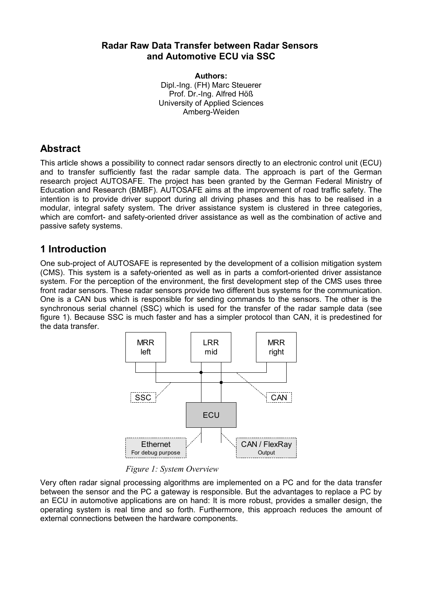#### **Radar Raw Data Transfer between Radar Sensors and Automotive ECU via SSC**

**Authors:** Dipl.-Ing. (FH) Marc Steuerer Prof. Dr.-Ing. Alfred Höß University of Applied Sciences Amberg-Weiden

#### **Abstract**

This article shows a possibility to connect radar sensors directly to an electronic control unit (ECU) and to transfer sufficiently fast the radar sample data. The approach is part of the German research project AUTOSAFE. The project has been granted by the German Federal Ministry of Education and Research (BMBF). AUTOSAFE aims at the improvement of road traffic safety. The intention is to provide driver support during all driving phases and this has to be realised in a modular, integral safety system. The driver assistance system is clustered in three categories, which are comfort- and safety-oriented driver assistance as well as the combination of active and passive safety systems.

#### **1 Introduction**

One sub-project of AUTOSAFE is represented by the development of a collision mitigation system (CMS). This system is a safety-oriented as well as in parts a comfort-oriented driver assistance system. For the perception of the environment, the first development step of the CMS uses three front radar sensors. These radar sensors provide two different bus systems for the communication. One is a CAN bus which is responsible for sending commands to the sensors. The other is the synchronous serial channel (SSC) which is used for the transfer of the radar sample data (see figure 1). Because SSC is much faster and has a simpler protocol than CAN, it is predestined for the data transfer.



*Figure 1: System Overview*

Very often radar signal processing algorithms are implemented on a PC and for the data transfer between the sensor and the PC a gateway is responsible. But the advantages to replace a PC by an ECU in automotive applications are on hand: It is more robust, provides a smaller design, the operating system is real time and so forth. Furthermore, this approach reduces the amount of external connections between the hardware components.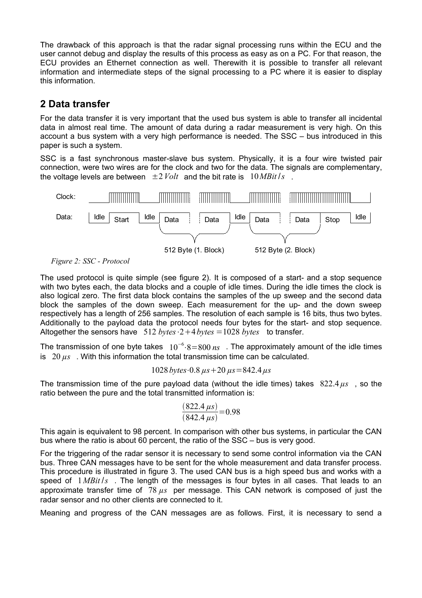The drawback of this approach is that the radar signal processing runs within the ECU and the user cannot debug and display the results of this process as easy as on a PC. For that reason, the ECU provides an Ethernet connection as well. Therewith it is possible to transfer all relevant information and intermediate steps of the signal processing to a PC where it is easier to display this information.

### **2 Data transfer**

For the data transfer it is very important that the used bus system is able to transfer all incidental data in almost real time. The amount of data during a radar measurement is very high. On this account a bus system with a very high performance is needed. The SSC – bus introduced in this paper is such a system.

SSC is a fast synchronous master-slave bus system. Physically, it is a four wire twisted pair connection, were two wires are for the clock and two for the data. The signals are complementary, the voltage levels are between  $\pm 2$  *Volt* and the bit rate is  $10$ *MBit ls*.



*Figure 2: SSC - Protocol*

The used protocol is quite simple (see figure 2). It is composed of a start- and a stop sequence with two bytes each, the data blocks and a couple of idle times. During the idle times the clock is also logical zero. The first data block contains the samples of the up sweep and the second data block the samples of the down sweep. Each measurement for the up- and the down sweep respectively has a length of 256 samples. The resolution of each sample is 16 bits, thus two bytes. Additionally to the payload data the protocol needs four bytes for the start- and stop sequence. Altogether the sensors have  $512 \text{ bytes} \cdot 2+4 \text{ bytes} = 1028 \text{ bytes}$  to transfer.

The transmission of one byte takes  $10^{-6}$ ·8=800 *ns* . The approximately amount of the idle times is  $20 \mu s$ . With this information the total transmission time can be calculated.

$$
1028
$$
 bytes  $\cdot$  0.8  $\mu$ s + 20  $\mu$ s = 842.4  $\mu$ s

The transmission time of the pure payload data (without the idle times) takes 822.4*µs* , so the ratio between the pure and the total transmitted information is:

$$
\frac{(822.4 \,\mu s)}{(842.4 \,\mu s)} = 0.98
$$

This again is equivalent to 98 percent. In comparison with other bus systems, in particular the CAN bus where the ratio is about 60 percent, the ratio of the SSC – bus is very good.

For the triggering of the radar sensor it is necessary to send some control information via the CAN bus. Three CAN messages have to be sent for the whole measurement and data transfer process. This procedure is illustrated in figure 3. The used CAN bus is a high speed bus and works with a speed of  $1MBit/s$ . The length of the messages is four bytes in all cases. That leads to an approximate transfer time of 78 *µs* per message. This CAN network is composed of just the radar sensor and no other clients are connected to it.

Meaning and progress of the CAN messages are as follows. First, it is necessary to send a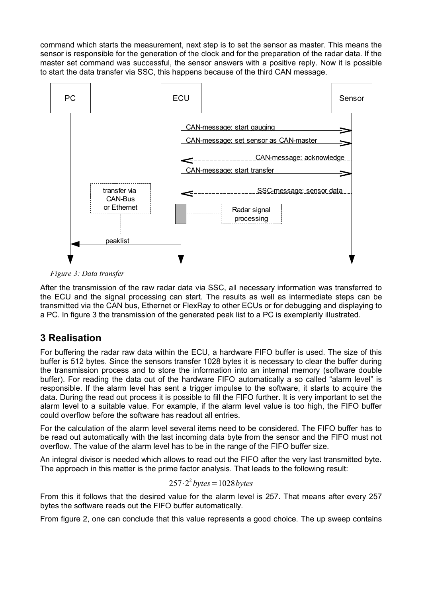command which starts the measurement, next step is to set the sensor as master. This means the sensor is responsible for the generation of the clock and for the preparation of the radar data. If the master set command was successful, the sensor answers with a positive reply. Now it is possible to start the data transfer via SSC, this happens because of the third CAN message.



*Figure 3: Data transfer*

After the transmission of the raw radar data via SSC, all necessary information was transferred to the ECU and the signal processing can start. The results as well as intermediate steps can be transmitted via the CAN bus, Ethernet or FlexRay to other ECUs or for debugging and displaying to a PC. In figure 3 the transmission of the generated peak list to a PC is exemplarily illustrated.

# **3 Realisation**

For buffering the radar raw data within the ECU, a hardware FIFO buffer is used. The size of this buffer is 512 bytes. Since the sensors transfer 1028 bytes it is necessary to clear the buffer during the transmission process and to store the information into an internal memory (software double buffer). For reading the data out of the hardware FIFO automatically a so called "alarm level" is responsible. If the alarm level has sent a trigger impulse to the software, it starts to acquire the data. During the read out process it is possible to fill the FIFO further. It is very important to set the alarm level to a suitable value. For example, if the alarm level value is too high, the FIFO buffer could overflow before the software has readout all entries.

For the calculation of the alarm level several items need to be considered. The FIFO buffer has to be read out automatically with the last incoming data byte from the sensor and the FIFO must not overflow. The value of the alarm level has to be in the range of the FIFO buffer size.

An integral divisor is needed which allows to read out the FIFO after the very last transmitted byte. The approach in this matter is the prime factor analysis. That leads to the following result:

$$
257 \cdot 2^2
$$
 *bytes* = 1028 *bytes*

From this it follows that the desired value for the alarm level is 257. That means after every 257 bytes the software reads out the FIFO buffer automatically.

From figure 2, one can conclude that this value represents a good choice. The up sweep contains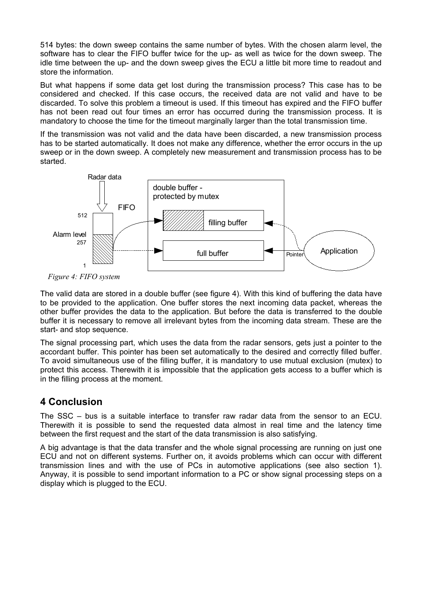514 bytes: the down sweep contains the same number of bytes. With the chosen alarm level, the software has to clear the FIFO buffer twice for the up- as well as twice for the down sweep. The idle time between the up- and the down sweep gives the ECU a little bit more time to readout and store the information.

But what happens if some data get lost during the transmission process? This case has to be considered and checked. If this case occurs, the received data are not valid and have to be discarded. To solve this problem a timeout is used. If this timeout has expired and the FIFO buffer has not been read out four times an error has occurred during the transmission process. It is mandatory to choose the time for the timeout marginally larger than the total transmission time.

If the transmission was not valid and the data have been discarded, a new transmission process has to be started automatically. It does not make any difference, whether the error occurs in the up sweep or in the down sweep. A completely new measurement and transmission process has to be started.



*Figure 4: FIFO system*

The valid data are stored in a double buffer (see figure 4). With this kind of buffering the data have to be provided to the application. One buffer stores the next incoming data packet, whereas the other buffer provides the data to the application. But before the data is transferred to the double buffer it is necessary to remove all irrelevant bytes from the incoming data stream. These are the start- and stop sequence.

The signal processing part, which uses the data from the radar sensors, gets just a pointer to the accordant buffer. This pointer has been set automatically to the desired and correctly filled buffer. To avoid simultaneous use of the filling buffer, it is mandatory to use mutual exclusion (mutex) to protect this access. Therewith it is impossible that the application gets access to a buffer which is in the filling process at the moment.

# **4 Conclusion**

The SSC – bus is a suitable interface to transfer raw radar data from the sensor to an ECU. Therewith it is possible to send the requested data almost in real time and the latency time between the first request and the start of the data transmission is also satisfying.

A big advantage is that the data transfer and the whole signal processing are running on just one ECU and not on different systems. Further on, it avoids problems which can occur with different transmission lines and with the use of PCs in automotive applications (see also section 1). Anyway, it is possible to send important information to a PC or show signal processing steps on a display which is plugged to the ECU.